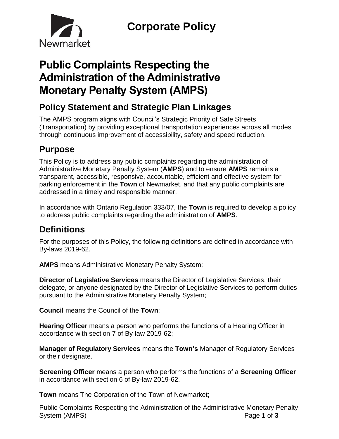

# **Public Complaints Respecting the Administration of the Administrative Monetary Penalty System (AMPS)**

# **Policy Statement and Strategic Plan Linkages**

The AMPS program aligns with Council's Strategic Priority of Safe Streets (Transportation) by providing exceptional transportation experiences across all modes through continuous improvement of accessibility, safety and speed reduction.

## **Purpose**

This Policy is to address any public complaints regarding the administration of Administrative Monetary Penalty System (**AMPS**) and to ensure **AMPS** remains a transparent, accessible, responsive, accountable, efficient and effective system for parking enforcement in the **Town** of Newmarket, and that any public complaints are addressed in a timely and responsible manner.

In accordance with Ontario Regulation 333/07, the **Town** is required to develop a policy to address public complaints regarding the administration of **AMPS**.

# **Definitions**

For the purposes of this Policy, the following definitions are defined in accordance with By-laws 2019-62.

**AMPS** means Administrative Monetary Penalty System;

**Director of Legislative Services** means the Director of Legislative Services, their delegate, or anyone designated by the Director of Legislative Services to perform duties pursuant to the Administrative Monetary Penalty System;

**Council** means the Council of the **Town**;

**Hearing Officer** means a person who performs the functions of a Hearing Officer in accordance with section 7 of By-law 2019-62;

**Manager of Regulatory Services** means the **Town's** Manager of Regulatory Services or their designate.

**Screening Officer** means a person who performs the functions of a **Screening Officer**  in accordance with section 6 of By-law 2019-62.

**Town** means The Corporation of the Town of Newmarket;

Public Complaints Respecting the Administration of the Administrative Monetary Penalty System (AMPS) Page **1** of **3**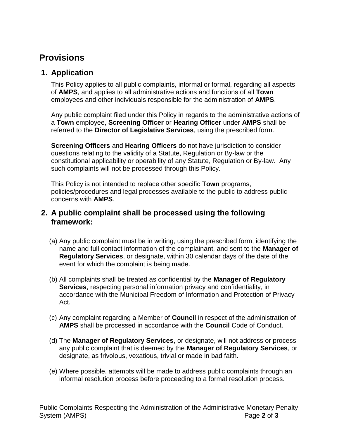### **Provisions**

#### **1. Application**

This Policy applies to all public complaints, informal or formal, regarding all aspects of **AMPS**, and applies to all administrative actions and functions of all **Town** employees and other individuals responsible for the administration of **AMPS**.

Any public complaint filed under this Policy in regards to the administrative actions of a **Town** employee, **Screening Officer** or **Hearing Officer** under **AMPS** shall be referred to the **Director of Legislative Services**, using the prescribed form.

**Screening Officers** and **Hearing Officers** do not have jurisdiction to consider questions relating to the validity of a Statute, Regulation or By-law or the constitutional applicability or operability of any Statute, Regulation or By-law. Any such complaints will not be processed through this Policy.

This Policy is not intended to replace other specific **Town** programs, policies/procedures and legal processes available to the public to address public concerns with **AMPS**.

#### **2. A public complaint shall be processed using the following framework:**

- (a) Any public complaint must be in writing, using the prescribed form, identifying the name and full contact information of the complainant, and sent to the **Manager of Regulatory Services**, or designate, within 30 calendar days of the date of the event for which the complaint is being made.
- (b) All complaints shall be treated as confidential by the **Manager of Regulatory Services**, respecting personal information privacy and confidentiality, in accordance with the Municipal Freedom of Information and Protection of Privacy Act.
- (c) Any complaint regarding a Member of **Council** in respect of the administration of **AMPS** shall be processed in accordance with the **Council** Code of Conduct.
- (d) The **Manager of Regulatory Services**, or designate, will not address or process any public complaint that is deemed by the **Manager of Regulatory Services**, or designate, as frivolous, vexatious, trivial or made in bad faith.
- (e) Where possible, attempts will be made to address public complaints through an informal resolution process before proceeding to a formal resolution process.